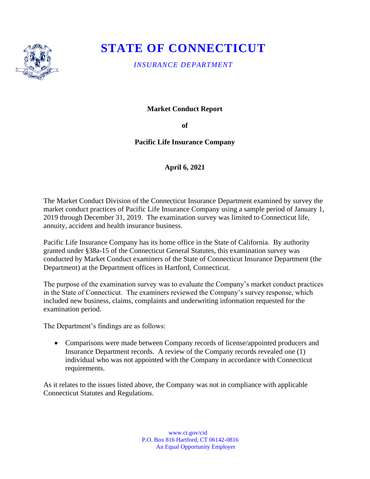

## **STATE OF CONNECTICUT**

*INSURANCE DEPARTMENT*

**Market Conduct Report**

**of** 

**Pacific Life Insurance Company**

**April 6, 2021**

The Market Conduct Division of the Connecticut Insurance Department examined by survey the market conduct practices of Pacific Life Insurance Company using a sample period of January 1, 2019 through December 31, 2019. The examination survey was limited to Connecticut life, annuity, accident and health insurance business.

Pacific Life Insurance Company has its home office in the State of California. By authority granted under §38a-15 of the Connecticut General Statutes, this examination survey was conducted by Market Conduct examiners of the State of Connecticut Insurance Department (the Department) at the Department offices in Hartford, Connecticut.

The purpose of the examination survey was to evaluate the Company's market conduct practices in the State of Connecticut. The examiners reviewed the Company's survey response, which included new business, claims, complaints and underwriting information requested for the examination period.

The Department's findings are as follows:

• Comparisons were made between Company records of license/appointed producers and Insurance Department records. A review of the Company records revealed one (1) individual who was not appointed with the Company in accordance with Connecticut requirements.

As it relates to the issues listed above, the Company was not in compliance with applicable Connecticut Statutes and Regulations.

> www.ct.gov/cid P.O. Box 816 Hartford, CT 06142-0816 An Equal Opportunity Employer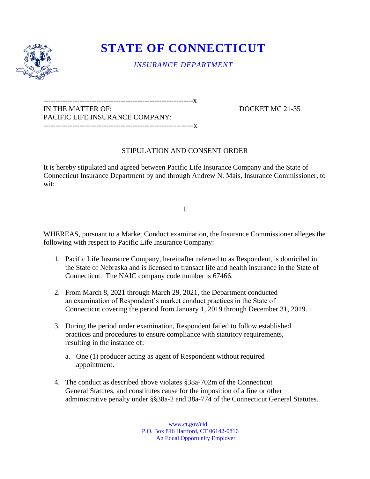

## **STATE OF CONNECTICUT**

*INSURANCE DEPARTMENT*

--------------------------------------------------------------x IN THE MATTER OF: DOCKET MC 21-35 PACIFIC LIFE INSURANCE COMPANY: --------------------------------------------------------------x

## STIPULATION AND CONSENT ORDER

It is hereby stipulated and agreed between Pacific Life Insurance Company and the State of Connecticut Insurance Department by and through Andrew N. Mais, Insurance Commissioner, to wit:

I

WHEREAS, pursuant to a Market Conduct examination, the Insurance Commissioner alleges the following with respect to Pacific Life Insurance Company:

- 1. Pacific Life Insurance Company, hereinafter referred to as Respondent, is domiciled in the State of Nebraska and is licensed to transact life and health insurance in the State of Connecticut. The NAIC company code number is 67466.
- 2. From March 8, 2021 through March 29, 2021, the Department conducted an examination of Respondent's market conduct practices in the State of Connecticut covering the period from January 1, 2019 through December 31, 2019.
- 3. During the period under examination, Respondent failed to follow established practices and procedures to ensure compliance with statutory requirements, resulting in the instance of:
	- a. One (1) producer acting as agent of Respondent without required appointment.
- 4. The conduct as described above violates §38a-702m of the Connecticut General Statutes, and constitutes cause for the imposition of a fine or other administrative penalty under §§38a-2 and 38a-774 of the Connecticut General Statutes.

 www.ct.gov/cid P.O. Box 816 Hartford, CT 06142-0816 An Equal Opportunity Employer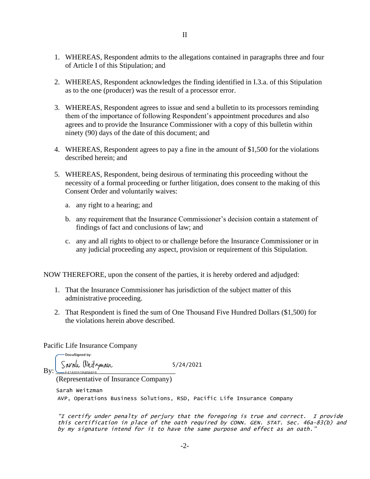- 1. WHEREAS, Respondent admits to the allegations contained in paragraphs three and four of Article I of this Stipulation; and
- 2. WHEREAS, Respondent acknowledges the finding identified in I.3.a. of this Stipulation as to the one (producer) was the result of a processor error.
- 3. WHEREAS, Respondent agrees to issue and send a bulletin to its processors reminding them of the importance of following Respondent's appointment procedures and also agrees and to provide the Insurance Commissioner with a copy of this bulletin within ninety (90) days of the date of this document; and
- 4. WHEREAS, Respondent agrees to pay a fine in the amount of \$1,500 for the violations described herein; and
- 5. WHEREAS, Respondent, being desirous of terminating this proceeding without the necessity of a formal proceeding or further litigation, does consent to the making of this Consent Order and voluntarily waives:
	- a. any right to a hearing; and
	- b. any requirement that the Insurance Commissioner's decision contain a statement of findings of fact and conclusions of law; and
	- c. any and all rights to object to or challenge before the Insurance Commissioner or in any judicial proceeding any aspect, provision or requirement of this Stipulation.

NOW THEREFORE, upon the consent of the parties, it is hereby ordered and adjudged:

- 1. That the Insurance Commissioner has jurisdiction of the subject matter of this administrative proceeding.
- 2. That Respondent is fined the sum of One Thousand Five Hundred Dollars (\$1,500) for the violations herein above described.

Pacific Life Insurance Company

-DocuSianed by:  $_{\rm BV}$  Sarah Weitzman 5/24/2021 (Representative of Insurance Company)

AVP, Operations Business Solutions, RSD, Pacific Life Insurance Company Sarah Weitzman

"I certify under penalty of perjury that the foregoing is true and correct. I provide this certification in place of the oath required by CONN. GEN. STAT. Sec. 46a-83(b) and by my signature intend for it to have the same purpose and effect as an oath."